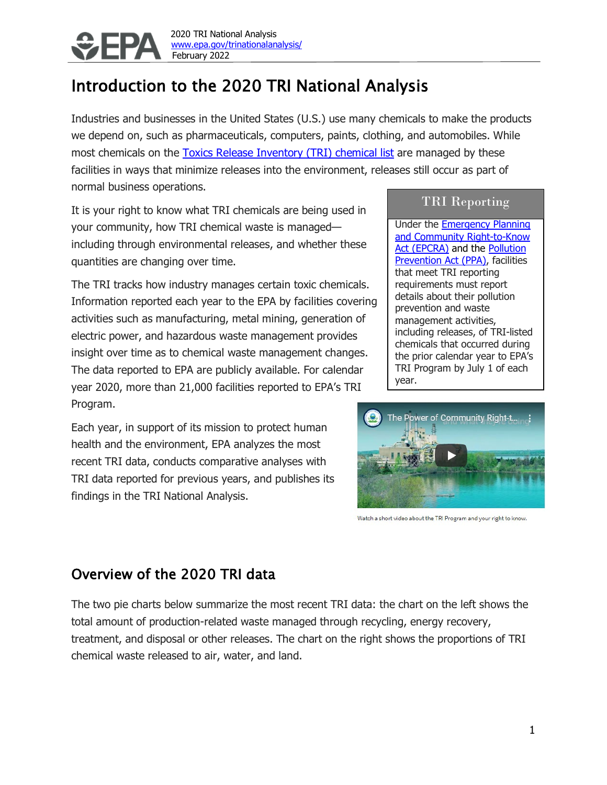

# Introduction to the 2020 TRI National Analysis

Industries and businesses in the United States (U.S.) use many chemicals to make the products we depend on, such as pharmaceuticals, computers, paints, clothing, and automobiles. While most chemicals on the [Toxics Release Inventory \(TRI\) chemical list](https://www.epa.gov/toxics-release-inventory-tri-program/tri-listed-chemicals) are managed by these facilities in ways that minimize releases into the environment, releases still occur as part of normal business operations.

It is your right to know what TRI chemicals are being used in your community, how TRI chemical waste is managed including through environmental releases, and whether these quantities are changing over time.

The TRI tracks how industry manages certain toxic chemicals. Information reported each year to the EPA by facilities covering activities such as manufacturing, metal mining, generation of electric power, and hazardous waste management provides insight over time as to chemical waste management changes. The data reported to EPA are publicly available. For calendar year 2020, more than 21,000 facilities reported to EPA's TRI Program.

Each year, in support of its mission to protect human health and the environment, EPA analyzes the most recent TRI data, conducts comparative analyses with TRI data reported for previous years, and publishes its findings in the TRI National Analysis.

#### TRI Reporting

Under the **Emergency Planning** [and Community Right-to-Know](https://www.epa.gov/epcra)  [Act \(EPCRA\)](https://www.epa.gov/epcra) and the [Pollution](https://www.epa.gov/laws-regulations/summary-pollution-prevention-act)  [Prevention Act \(PPA\),](https://www.epa.gov/laws-regulations/summary-pollution-prevention-act) facilities that meet TRI reporting requirements must report details about their pollution prevention and waste management activities, including releases, of TRI-listed chemicals that occurred during the prior calendar year to EPA's TRI Program by July 1 of each year.



Watch a short video about the TRI Program and your right to know.

### Overview of the 2020 TRI data

The two pie charts below summarize the most recent TRI data: the chart on the left shows the total amount of production-related waste managed through recycling, energy recovery, treatment, and disposal or other releases. The chart on the right shows the proportions of TRI chemical waste released to air, water, and land.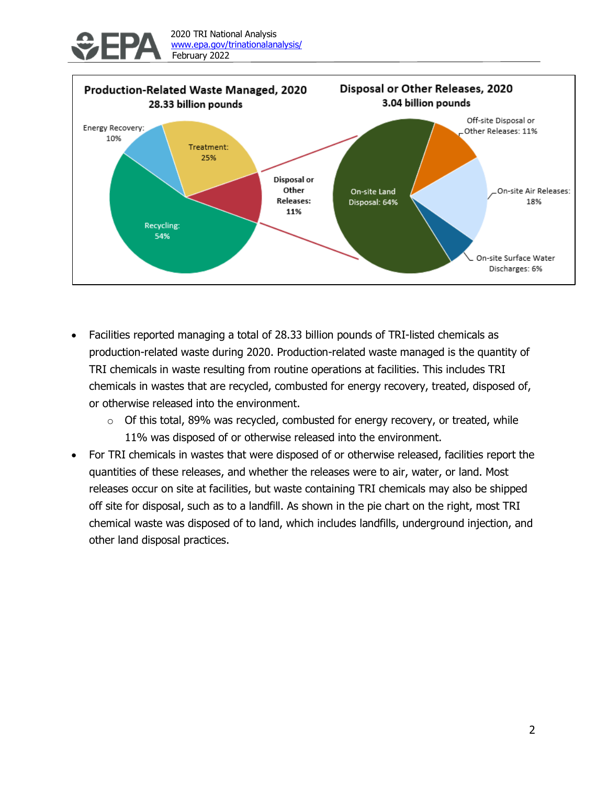



- Facilities reported managing a total of 28.33 billion pounds of TRI-listed chemicals as production-related waste during 2020. Production-related waste managed is the quantity of TRI chemicals in waste resulting from routine operations at facilities. This includes TRI chemicals in wastes that are recycled, combusted for energy recovery, treated, disposed of, or otherwise released into the environment.
	- $\circ$  Of this total, 89% was recycled, combusted for energy recovery, or treated, while 11% was disposed of or otherwise released into the environment.
- For TRI chemicals in wastes that were disposed of or otherwise released, facilities report the quantities of these releases, and whether the releases were to air, water, or land. Most releases occur on site at facilities, but waste containing TRI chemicals may also be shipped off site for disposal, such as to a landfill. As shown in the pie chart on the right, most TRI chemical waste was disposed of to land, which includes landfills, underground injection, and other land disposal practices.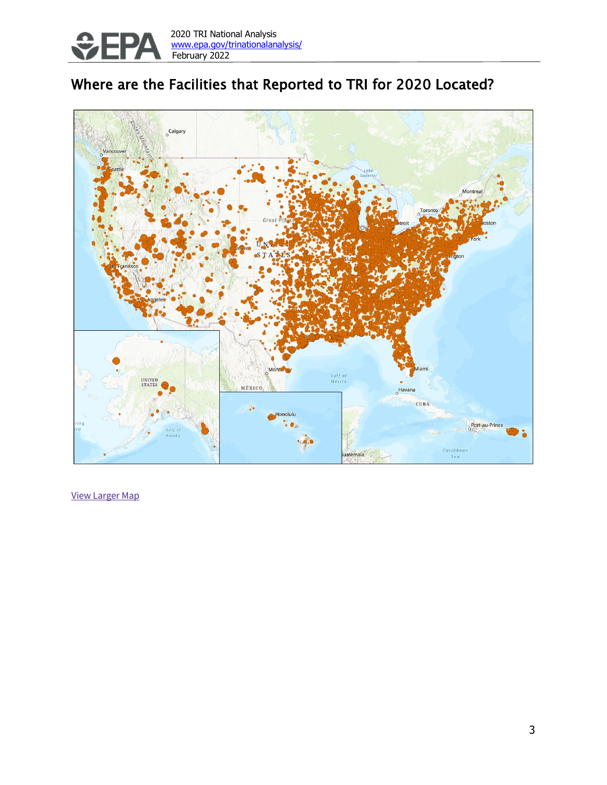

## Where are the Facilities that Reported to TRI for 2020 Located?



View Larger Map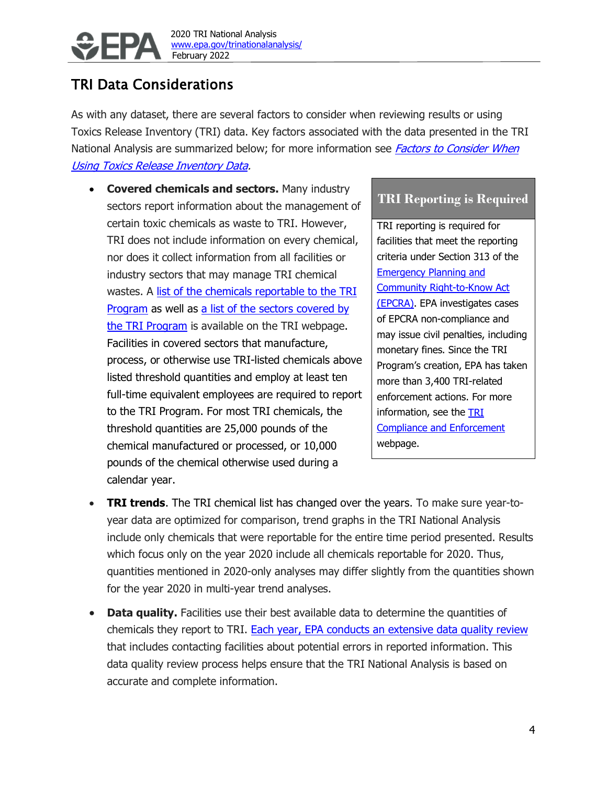

### TRI Data Considerations

As with any dataset, there are several factors to consider when reviewing results or using Toxics Release Inventory (TRI) data. Key factors associated with the data presented in the TRI National Analysis are summarized below; for more information see *Factors to Consider When* [Using Toxics Release Inventory Data.](https://www.epa.gov/sites/production/files/2019-03/documents/factors_to_consider_march_2019.pdf)

• **Covered chemicals and sectors.** Many industry sectors report information about the management of certain toxic chemicals as waste to TRI. However, TRI does not include information on every chemical, nor does it collect information from all facilities or industry sectors that may manage TRI chemical wastes. A [list of the chemicals reportable to the TRI](https://www.epa.gov/toxics-release-inventory-tri-program/tri-listed-chemicals)  [Program](https://www.epa.gov/toxics-release-inventory-tri-program/tri-listed-chemicals) as well as a [list of the sectors covered by](https://www.epa.gov/toxics-release-inventory-tri-program/tri-covered-industry-sectors)  [the TRI Program](https://www.epa.gov/toxics-release-inventory-tri-program/tri-covered-industry-sectors) is available on the TRI webpage. Facilities in covered sectors that manufacture, process, or otherwise use TRI-listed chemicals above listed threshold quantities and employ at least ten full-time equivalent employees are required to report to the TRI Program. For most TRI chemicals, the threshold quantities are 25,000 pounds of the chemical manufactured or processed, or 10,000 pounds of the chemical otherwise used during a calendar year.

#### **TRI Reporting is Required**

TRI reporting is required for facilities that meet the reporting criteria under Section 313 of the [Emergency Planning and](https://www.epa.gov/epcra)  [Community Right-to-Know Act](https://www.epa.gov/epcra)  [\(EPCRA\).](https://www.epa.gov/epcra) EPA investigates cases of EPCRA non-compliance and may issue civil penalties, including monetary fines. Since the TRI Program's creation, EPA has taken more than 3,400 TRI-related enforcement actions. For more information, see the **TRI** [Compliance and Enforcement](https://www.epa.gov/toxics-release-inventory-tri-program/tri-compliance-and-enforcement) webpage.

- **TRI trends**. The TRI chemical list has changed over the years. To make sure year-toyear data are optimized for comparison, trend graphs in the TRI National Analysis include only chemicals that were reportable for the entire time period presented. Results which focus only on the year 2020 include all chemicals reportable for 2020. Thus, quantities mentioned in 2020-only analyses may differ slightly from the quantities shown for the year 2020 in multi-year trend analyses.
- **Data quality.** Facilities use their best available data to determine the quantities of chemicals they report to TRI. [Each year, EPA conducts an extensive data quality review](https://www.epa.gov/toxics-release-inventory-tri-program/tri-data-quality) that includes contacting facilities about potential errors in reported information. This data quality review process helps ensure that the TRI National Analysis is based on accurate and complete information.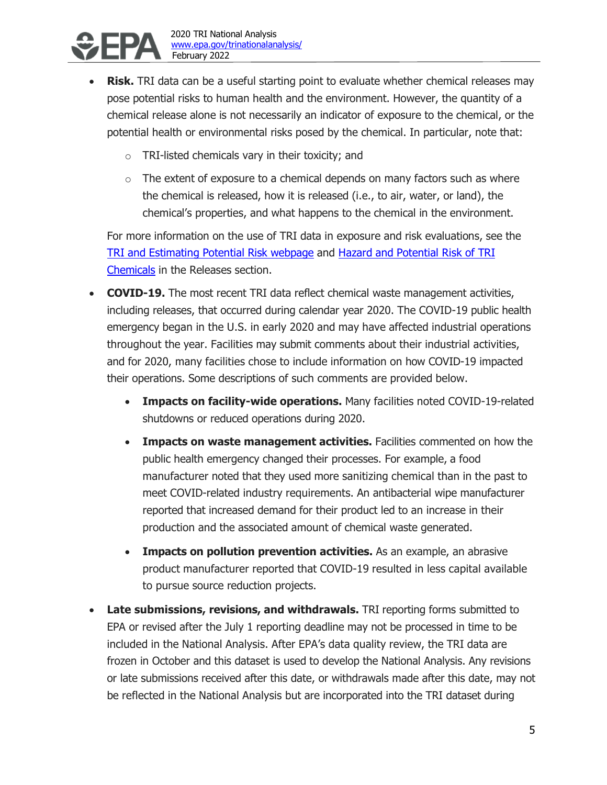

- **Risk.** TRI data can be a useful starting point to evaluate whether chemical releases may pose potential risks to human health and the environment. However, the quantity of a chemical release alone is not necessarily an indicator of exposure to the chemical, or the potential health or environmental risks posed by the chemical. In particular, note that:
	- o TRI-listed chemicals vary in their toxicity; and
	- $\circ$  The extent of exposure to a chemical depends on many factors such as where the chemical is released, how it is released (i.e., to air, water, or land), the chemical's properties, and what happens to the chemical in the environment.

For more information on the use of TRI data in exposure and risk evaluations, see the [TRI and Estimating Potential Risk webpage](https://www.epa.gov/toxics-release-inventory-tri-program/tri-and-estimating-potential-risk) and Hazard and Potential Risk of TRI Chemicals in the Releases section.

- **COVID-19.** The most recent TRI data reflect chemical waste management activities, including releases, that occurred during calendar year 2020. The COVID-19 public health emergency began in the U.S. in early 2020 and may have affected industrial operations throughout the year. Facilities may submit comments about their industrial activities, and for 2020, many facilities chose to include information on how COVID-19 impacted their operations. Some descriptions of such comments are provided below.
	- **Impacts on facility-wide operations.** Many facilities noted COVID-19-related shutdowns or reduced operations during 2020.
	- **Impacts on waste management activities.** Facilities commented on how the public health emergency changed their processes. For example, a food manufacturer noted that they used more sanitizing chemical than in the past to meet COVID-related industry requirements. An antibacterial wipe manufacturer reported that increased demand for their product led to an increase in their production and the associated amount of chemical waste generated.
	- **Impacts on pollution prevention activities.** As an example, an abrasive product manufacturer reported that COVID-19 resulted in less capital available to pursue source reduction projects.
- **Late submissions, revisions, and withdrawals.** TRI reporting forms submitted to EPA or revised after the July 1 reporting deadline may not be processed in time to be included in the National Analysis. After EPA's data quality review, the TRI data are frozen in October and this dataset is used to develop the National Analysis. Any revisions or late submissions received after this date, or withdrawals made after this date, may not be reflected in the National Analysis but are incorporated into the TRI dataset during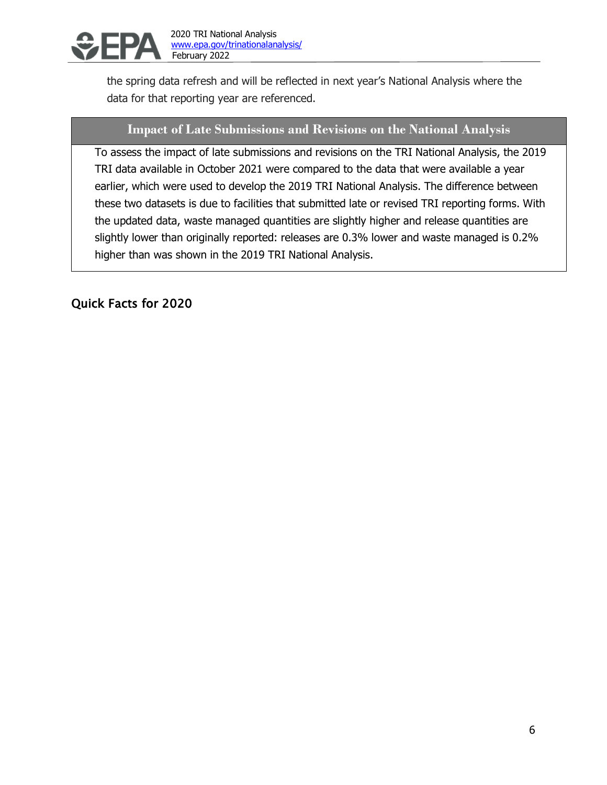

data for that reporting year are referenced.

the spring data refresh and will be reflected in next year's National Analysis where the

## **Impact of Late Submissions and Revisions on the National Analysis**

To assess the impact of late submissions and revisions on the TRI National Analysis, the 2019 TRI data available in October 2021 were compared to the data that were available a year earlier, which were used to develop the 2019 TRI National Analysis. The difference between these two datasets is due to facilities that submitted late or revised TRI reporting forms. With the updated data, waste managed quantities are slightly higher and release quantities are slightly lower than originally reported: releases are 0.3% lower and waste managed is 0.2% higher than was shown in the 2019 TRI National Analysis.

Quick Facts for 2020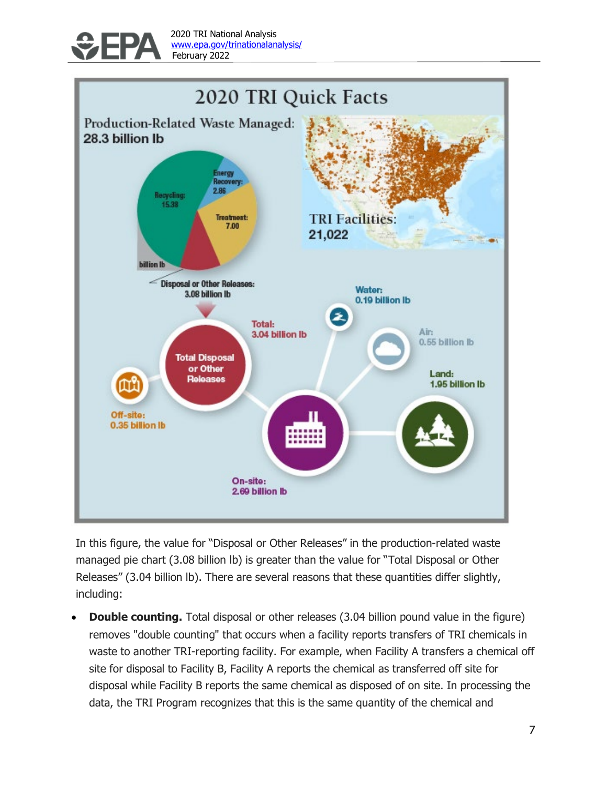



In this figure, the value for "Disposal or Other Releases" in the production-related waste managed pie chart (3.08 billion lb) is greater than the value for "Total Disposal or Other Releases" (3.04 billion lb). There are several reasons that these quantities differ slightly, including:

• **Double counting.** Total disposal or other releases (3.04 billion pound value in the figure) removes "double counting" that occurs when a facility reports transfers of TRI chemicals in waste to another TRI-reporting facility. For example, when Facility A transfers a chemical off site for disposal to Facility B, Facility A reports the chemical as transferred off site for disposal while Facility B reports the same chemical as disposed of on site. In processing the data, the TRI Program recognizes that this is the same quantity of the chemical and